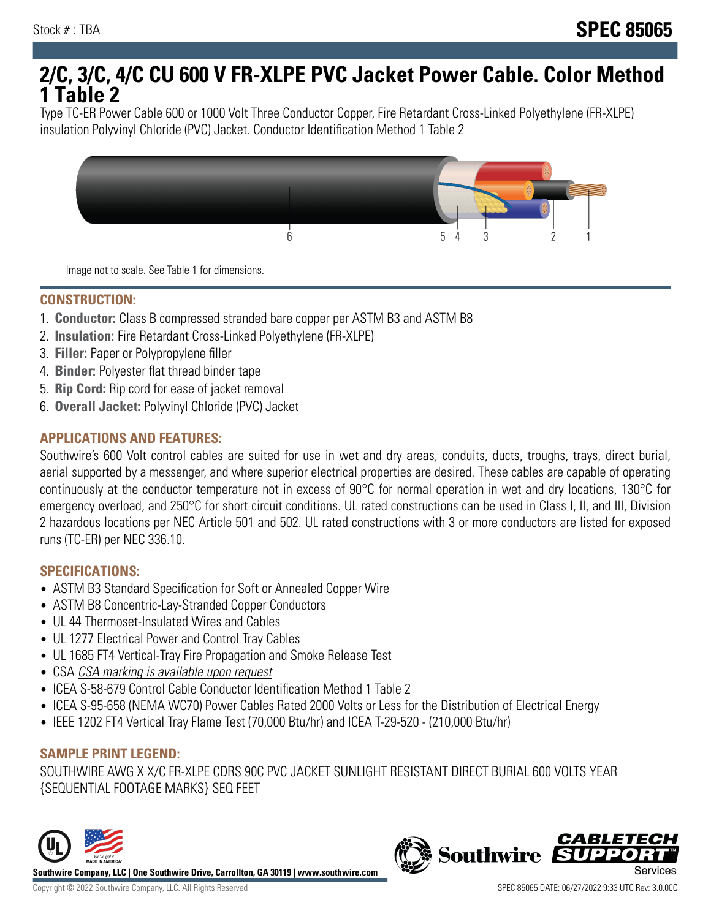# **2/C, 3/C, 4/C CU 600 V FR-XLPE PVC Jacket Power Cable. Color Method 1 Table 2**

Type TC-ER Power Cable 600 or 1000 Volt Three Conductor Copper, Fire Retardant Cross-Linked Polyethylene (FR-XLPE) insulation Polyvinyl Chloride (PVC) Jacket. Conductor Identification Method 1 Table 2



Image not to scale. See Table 1 for dimensions.

#### **CONSTRUCTION:**

- 1. **Conductor:** Class B compressed stranded bare copper per ASTM B3 and ASTM B8
- 2. **Insulation:** Fire Retardant Cross-Linked Polyethylene (FR-XLPE)
- 3. **Filler:** Paper or Polypropylene filler
- 4. **Binder:** Polyester flat thread binder tape
- 5. **Rip Cord:** Rip cord for ease of jacket removal
- 6. **Overall Jacket:** Polyvinyl Chloride (PVC) Jacket

## **APPLICATIONS AND FEATURES:**

Southwire's 600 Volt control cables are suited for use in wet and dry areas, conduits, ducts, troughs, trays, direct burial, aerial supported by a messenger, and where superior electrical properties are desired. These cables are capable of operating continuously at the conductor temperature not in excess of 90°C for normal operation in wet and dry locations, 130°C for emergency overload, and 250°C for short circuit conditions. UL rated constructions can be used in Class I, II, and III, Division 2 hazardous locations per NEC Article 501 and 502. UL rated constructions with 3 or more conductors are listed for exposed runs (TC-ER) per NEC 336.10.

#### **SPECIFICATIONS:**

- ASTM B3 Standard Specification for Soft or Annealed Copper Wire
- ASTM B8 Concentric-Lay-Stranded Copper Conductors
- UL 44 Thermoset-Insulated Wires and Cables
- UL 1277 Electrical Power and Control Tray Cables
- UL 1685 FT4 Vertical-Tray Fire Propagation and Smoke Release Test
- CSA CSA marking is available upon request
- ICEA S-58-679 Control Cable Conductor Identification Method 1 Table 2
- ICEA S-95-658 (NEMA WC70) Power Cables Rated 2000 Volts or Less for the Distribution of Electrical Energy
- IEEE 1202 FT4 Vertical Tray Flame Test (70,000 Btu/hr) and ICEA T-29-520 (210,000 Btu/hr)

#### **SAMPLE PRINT LEGEND:**

SOUTHWIRE AWG X X/C FR-XLPE CDRS 90C PVC JACKET SUNLIGHT RESISTANT DIRECT BURIAL 600 VOLTS YEAR {SEQUENTIAL FOOTAGE MARKS} SEQ FEET